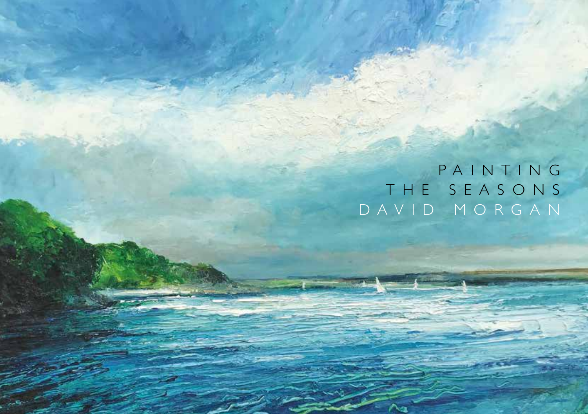PAINTING T H E S E A S O N S [DAVID MORGAN](https://www.whitespaceart.com/artworks/david-morgan/churstone/)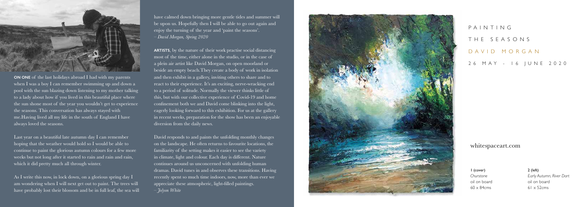P A I N T I N G

## THE SEASONS

1 (cover) *Churstone* oil on board  $60 \times 84$ cms

DAVID MORGAN

26 MAY - 16 JUNE 2020

2 (left) *Early Autumn, River Dart* oil on board  $61 \times 52$ cms

## whitespaceart.com



**ON ONE** of the last holidays abroad I had with my parents when I was a boy I can remember swimming up and down a pool with the sun blazing down listening to my mother talking to a lady about how if you lived in this beautiful place where the sun shone most of the year you wouldn't get to experience the seasons. This conversation has always stayed with me.Having lived all my life in the south of England I have always loved the seasons.

Last year on a beautiful late autumn day I can remember hoping that the weather would hold so I would be able to continue to paint the glorious autumn colours for a few more weeks but not long after it started to rain and rain and rain, which it did pretty much all through winter.

As I write this now, in lock down, on a glorious spring day I am wondering when I will next get out to paint. The trees will have probably lost their blossom and be in full leaf, the sea will have calmed down bringing more gentle tides and summer will be upon us. Hopefully then I will be able to go out again and enjoy the turning of the year and 'paint the seasons'. *– David Morgan, Spring 2020*

**ARTISTS**, by the nature of their work practise social distancing most of the time, either alone in the studio, or in the case of a plein air artist like David Morgan, on open moorland or beside an empty beach.They create a body of work in isolation and then exhibit in a gallery, inviting others to share and to react to their experience. It's an exciting, nerve-wracking end to a period of solitude. Normally the viewer thinks little of this, but with our collective experience of Covid-19 and home confinement both we and David come blinking into the light, eagerly looking forward to this exhibition. For us at the gallery in recent weeks, preparation for the show has been an enjoyable diversion from the daily news.

David responds to and paints the unfolding monthly changes on the landscape. He often returns to favourite locations, the familiarity of the setting makes it easier to see the variety in climate, light and colour. Each day is different. Nature continues around us unconcerned with unfolding human dramas. David tunes in and observes these transitions. Having recently spent so much time indoors, now, more than ever we appreciate these atmospheric, light-filled paintings. *– Jolyon White*

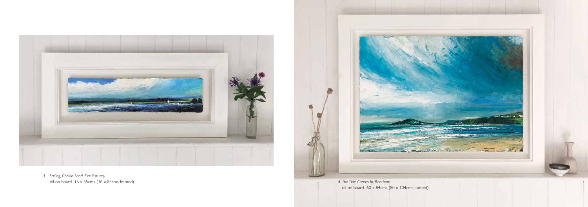



3 *Sailing, Cockle Sand, Exe Estuary* oil on board  $16 \times 65$ cms  $(36 \times 85)$ cms framed)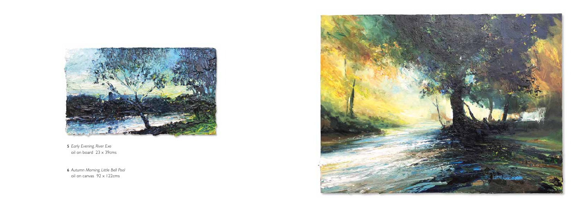

5 *[Early Evening, River Exe](https://www.whitespaceart.com/artworks/david-morgan/early-evening-river-exe/)*  $\overrightarrow{0}$  oil on board 23 x 39cms

6 *Autumn Morning, Little Bell Pool* oil on canvas 92 x 122cms

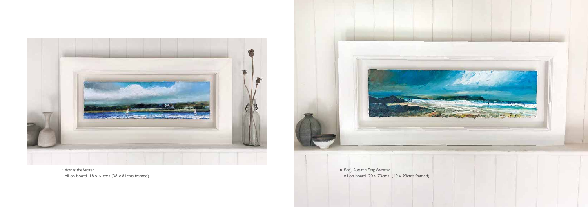



7 *Across the Water* oil on board  $18 \times 61$  cms  $(38 \times 81)$  cms framed)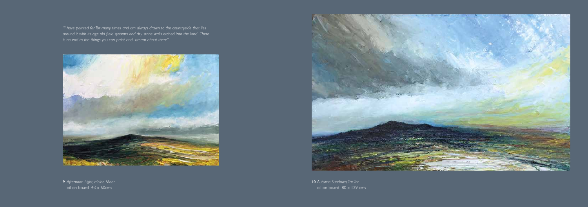10 *Autumn Sundown, Yar Tor* oil on board  $80 \times 129$  cms

*"I have painted Yar Tor many times and am always drawn to the countryside that lies around it with its age old field systems and dry stone walls etched into the land . There is no end to the things you can paint and dream about there"*



9 *Afternoon Light, Holne Moor* oil on board  $43 \times 60$ cms

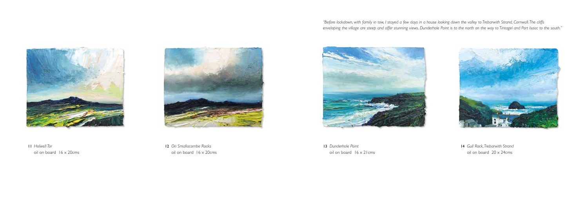

11 *Holwell Tor* oil on board 16 x 20cms



14 *Gull Rock, Trebarwith Strand* oil on board 20 x 24cms

13 *Dunderhole Point* oil on board 16 x 21cms



12 *On Smallacombe Rocks* oil on board 16 x 20cms

*"Before lockdown, with family in tow, I stayed a few days in a house looking down the valley to Trebarwith Strand, Cornwall. The cliffs enveloping the village are steep and offer stunning views. Dunderhole Point is to the north on the way to Tintagel and Port Isaac to the south."*

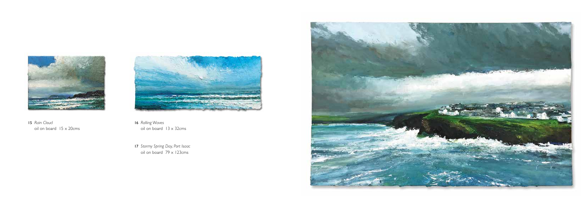16 *Rolling Waves* oil on board 13 x 32cms

17 *Stormy Spring Day, Port Isaac*  $\frac{1}{20}$  oil on board 79 x 123cms





15 *Rain Cloud* oil on board 15 x 20cms

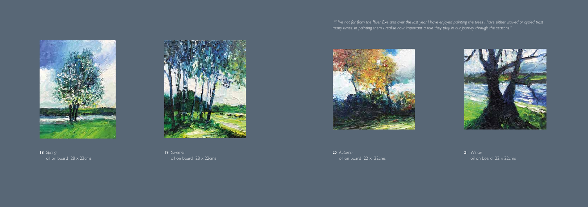

18 *Spring* oil on board 28 x 22cms



20 *Autumn* oil on board  $22 \times 22$ cms



19 *Summer* oil on board 28 x 22cms 21 *Winter* oil on board  $22 \times 22$ cms



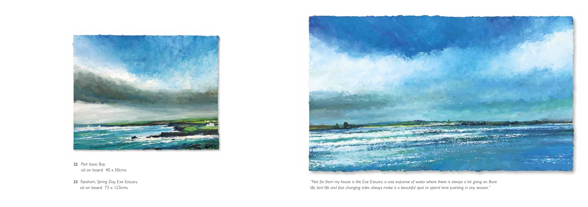

- 22 *Port Isaac Bay* oil on board 40 x 50cms
- 23 *Topsham, Spring Day, Exe Estuary* oil on board 73 x 123cms



*"Not far from my house is the Exe Estuary a vast expanse of water where there is always a lot going on. Boat life, bird life and fast changing tides always make it a beautiful spot to spend time painting in any season."*